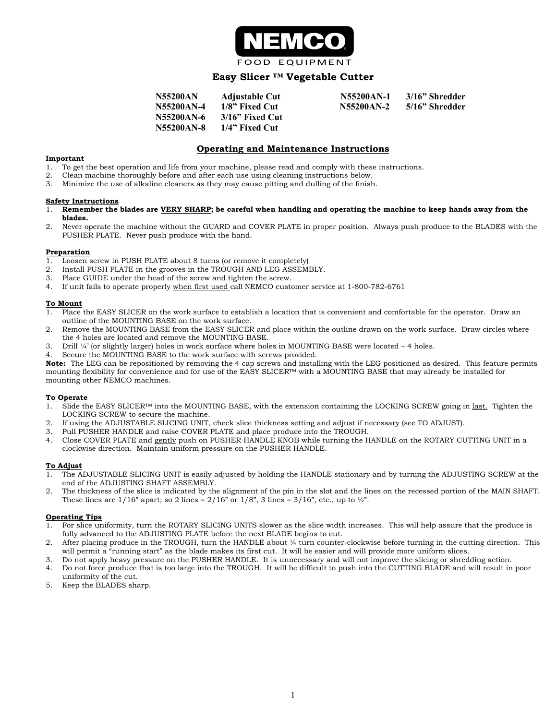

## **Easy Slicer ™ Vegetable Cutter**

| <b>N55200AN</b> | <b>Adjustable Cut</b> | N55200AN-1 | 3/16" Shredder   |
|-----------------|-----------------------|------------|------------------|
| N55200AN-4      | 1/8" Fixed Cut        | N55200AN-2 | – 5/16" Shredder |
| N55200AN-6      | – 3/16" Fixed Cut     |            |                  |
| N55200AN-8      | – 1/4" Fixed Cut      |            |                  |

## **Operating and Maintenance Instructions**

#### **Important**

- 1. To get the best operation and life from your machine, please read and comply with these instructions.
- 2. Clean machine thoroughly before and after each use using cleaning instructions below.
- 3. Minimize the use of alkaline cleaners as they may cause pitting and dulling of the finish.

#### **Safety Instructions**

- 1. **Remember the blades are VERY SHARP; be careful when handling and operating the machine to keep hands away from the blades.**
- 2. Never operate the machine without the GUARD and COVER PLATE in proper position. Always push produce to the BLADES with the PUSHER PLATE. Never push produce with the hand.

#### **Preparation**

- 1. Loosen screw in PUSH PLATE about 8 turns (or remove it completely)
- 2. Install PUSH PLATE in the grooves in the TROUGH AND LEG ASSEMBLY.
- 3. Place GUIDE under the head of the screw and tighten the screw.
- 4. If unit fails to operate properly when first used call NEMCO customer service at 1-800-782-6761

#### **To Mount**

- 1. Place the EASY SLICER on the work surface to establish a location that is convenient and comfortable for the operator. Draw an outline of the MOUNTING BASE on the work surface.
- 2. Remove the MOUNTING BASE from the EASY SLICER and place within the outline drawn on the work surface. Draw circles where the 4 holes are located and remove the MOUNTING BASE.
- 3. Drill ¼' (or slightly larger) holes in work surface where holes in MOUNTING BASE were located 4 holes.
- Secure the MOUNTING BASE to the work surface with screws provided.

**Note:** The LEG can be repositioned by removing the 4 cap screws and installing with the LEG positioned as desired. This feature permits mounting flexibility for convenience and for use of the EASY SLICER™ with a MOUNTING BASE that may already be installed for mounting other NEMCO machines.

#### **To Operate**

- 1. Slide the EASY SLICER™ into the MOUNTING BASE, with the extension containing the LOCKING SCREW going in last. Tighten the LOCKING SCREW to secure the machine.
- 2. If using the ADJUSTABLE SLICING UNIT, check slice thickness setting and adjust if necessary (see TO ADJUST).
- 3. Pull PUSHER HANDLE and raise COVER PLATE and place produce into the TROUGH.
- 4. Close COVER PLATE and gently push on PUSHER HANDLE KNOB while turning the HANDLE on the ROTARY CUTTING UNIT in a clockwise direction. Maintain uniform pressure on the PUSHER HANDLE.

#### **To Adjust**

- 1. The ADJUSTABLE SLICING UNIT is easily adjusted by holding the HANDLE stationary and by turning the ADJUSTING SCREW at the end of the ADJUSTING SHAFT ASSEMBLY.
- 2. The thickness of the slice is indicated by the alignment of the pin in the slot and the lines on the recessed portion of the MAIN SHAFT. These lines are  $1/16$ " apart; so 2 lines =  $2/16$ " or  $1/8$ ", 3 lines =  $3/16$ ", etc., up to  $\frac{1}{2}$ ".

#### **Operating Tips**

- 1. For slice uniformity, turn the ROTARY SLICING UNITS slower as the slice width increases. This will help assure that the produce is fully advanced to the ADJUSTING PLATE before the next BLADE begins to cut.
- 2. After placing produce in the TROUGH, turn the HANDLE about ¼ turn counter-clockwise before turning in the cutting direction. This will permit a "running start" as the blade makes its first cut. It will be easier and will provide more uniform slices.
- 3. Do not apply heavy pressure on the PUSHER HANDLE. It is unnecessary and will not improve the slicing or shredding action.
- 4. Do not force produce that is too large into the TROUGH. It will be difficult to push into the CUTTING BLADE and will result in poor uniformity of the cut.
- 5. Keep the BLADES sharp.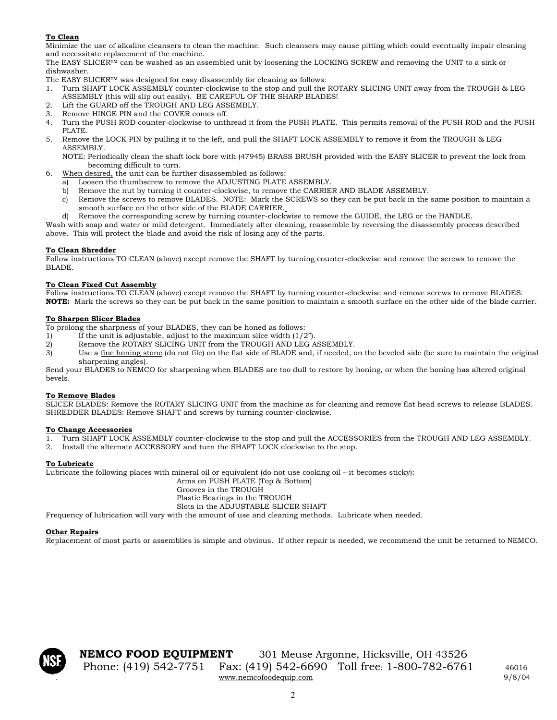## **To Clean**

Minimize the use of alkaline cleansers to clean the machine. Such cleansers may cause pitting which could eventually impair cleaning and necessitate replacement of the machine.

The EASY SLICER™ can be washed as an assembled unit by loosening the LOCKING SCREW and removing the UNIT to a sink or dishwasher.

- The EASY SLICER™ was designed for easy disassembly for cleaning as follows:
- 1. Turn SHAFT LOCK ASSEMBLY counter-clockwise to the stop and pull the ROTARY SLICING UNIT away from the TROUGH & LEG ASSEMBLY (this will slip out easily). BE CAREFUL OF THE SHARP BLADES!
- 2. Lift the GUARD off the TROUGH AND LEG ASSEMBLY.
- 3. Remove HINGE PIN and the COVER comes off.
- 4. Turn the PUSH ROD counter-clockwise to unthread it from the PUSH PLATE. This permits removal of the PUSH ROD and the PUSH PLATE.
- 5. Remove the LOCK PIN by pulling it to the left, and pull the SHAFT LOCK ASSEMBLY to remove it from the TROUGH & LEG ASSEMBLY.

NOTE: Periodically clean the shaft lock bore with (47945) BRASS BRUSH provided with the EASY SLICER to prevent the lock from becoming difficult to turn.

- 6. When desired, the unit can be further disassembled as follows:
	- a) Loosen the thumbscrew to remove the ADJUSTING PLATE ASSEMBLY.
	- b) Remove the nut by turning it counter-clockwise, to remove the CARRIER AND BLADE ASSEMBLY.
	- c) Remove the screws to remove BLADES. NOTE: Mark the SCREWS so they can be put back in the same position to maintain a smooth surface on the other side of the BLADE CARRIER.
	- d) Remove the corresponding screw by turning counter-clockwise to remove the GUIDE, the LEG or the HANDLE.

Wash with soap and water or mild detergent. Immediately after cleaning, reassemble by reversing the disassembly process described above. This will protect the blade and avoid the risk of losing any of the parts.

## **To Clean Shredder**

Follow instructions TO CLEAN (above) except remove the SHAFT by turning counter-clockwise and remove the screws to remove the BLADE.

## **To Clean Fixed Cut Assembly**

Follow instructions TO CLEAN (above) except remove the SHAFT by turning counter-clockwise and remove screws to remove BLADES. **NOTE:** Mark the screws so they can be put back in the same position to maintain a smooth surface on the other side of the blade carrier.

## **To Sharpen Slicer Blades**

To prolong the sharpness of your BLADES, they can be honed as follows:

- 1) If the unit is adjustable, adjust to the maximum slice width  $(1/2<sup>n</sup>)$ .
- 2) Remove the ROTARY SLICING UNIT from the TROUGH AND LEG ASSEMBLY.
- 3) Use a fine honing stone (do not file) on the flat side of BLADE and, if needed, on the beveled side (be sure to maintain the original sharpening angles).

Send your BLADES to NEMCO for sharpening when BLADES are too dull to restore by honing, or when the honing has altered original bevels.

## **To Remove Blades**

SLICER BLADES: Remove the ROTARY SLICING UNIT from the machine as for cleaning and remove flat head screws to release BLADES. SHREDDER BLADES: Remove SHAFT and screws by turning counter-clockwise.

# **To Change Accessories**<br><sup>1</sup> Turn SHAFT LOCK

- 1. Turn SHAFT LOCK ASSEMBLY counter-clockwise to the stop and pull the ACCESSORIES from the TROUGH AND LEG ASSEMBLY.
- 2. Install the alternate ACCESSORY and turn the SHAFT LOCK clockwise to the stop.

## **To Lubricate**

Lubricate the following places with mineral oil or equivalent (do not use cooking oil – it becomes sticky):

Arms on PUSH PLATE (Top & Bottom) Grooves in the TROUGH Plastic Bearings in the TROUGH Slots in the ADJUSTABLE SLICER SHAFT

Frequency of lubrication will vary with the amount of use and cleaning methods. Lubricate when needed.

## **Other Repairs**

Replacement of most parts or assemblies is simple and obvious. If other repair is needed, we recommend the unit be returned to NEMCO.



**NEMCO FOOD EQUIPMENT** 301 Meuse Argonne, Hicksville, OH 43526 Phone: (419) 542-7751 Fax: (419) 542-6690 Toll free: 1-800-782-6761 46016 . [www.nemcofoodequip.com](http://www.nemcofoodequip.com/) 9/8/04